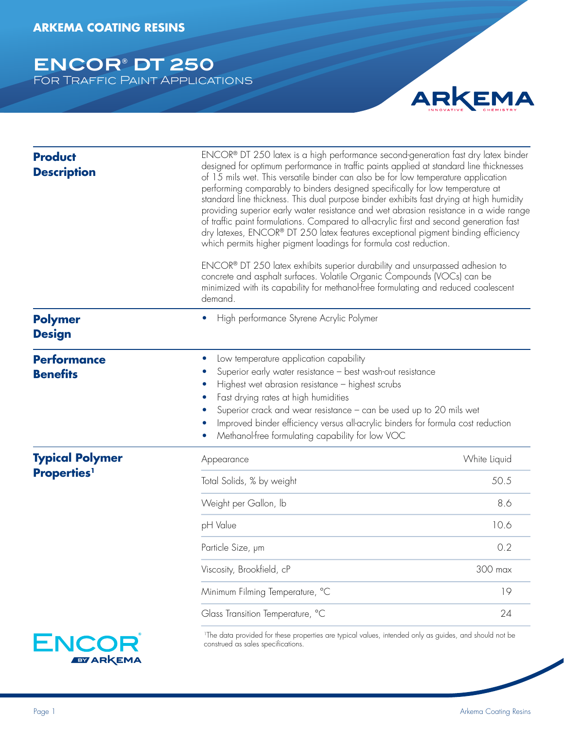For Traffic Paint Applications



| <b>Product</b><br><b>Description</b>  | ENCOR® DT 250 latex is a high performance second-generation fast dry latex binder<br>designed for optimum performance in traffic paints applied at standard line thicknesses<br>of 15 mils wet. This versatile binder can also be for low temperature application<br>performing comparably to binders designed specifically for low temperature at<br>standard line thickness. This dual purpose binder exhibits fast drying at high humidity<br>providing superior early water resistance and wet abrasion resistance in a wide range<br>of traffic paint formulations. Compared to all-acrylic first and second generation fast<br>dry latexes, ENCOR® DT 250 latex features exceptional pigment binding efficiency<br>which permits higher pigment loadings for formula cost reduction.<br>ENCOR® DT 250 latex exhibits superior durability and unsurpassed adhesion to<br>concrete and asphalt surfaces. Volatile Organic Compounds (VOCs) can be<br>minimized with its capability for methanol-free formulating and reduced coalescent<br>demand. |              |
|---------------------------------------|--------------------------------------------------------------------------------------------------------------------------------------------------------------------------------------------------------------------------------------------------------------------------------------------------------------------------------------------------------------------------------------------------------------------------------------------------------------------------------------------------------------------------------------------------------------------------------------------------------------------------------------------------------------------------------------------------------------------------------------------------------------------------------------------------------------------------------------------------------------------------------------------------------------------------------------------------------------------------------------------------------------------------------------------------------|--------------|
| <b>Polymer</b><br><b>Design</b>       | High performance Styrene Acrylic Polymer                                                                                                                                                                                                                                                                                                                                                                                                                                                                                                                                                                                                                                                                                                                                                                                                                                                                                                                                                                                                               |              |
| <b>Performance</b><br><b>Benefits</b> | Low temperature application capability<br>Superior early water resistance - best wash-out resistance<br>Highest wet abrasion resistance - highest scrubs<br>Fast drying rates at high humidities<br>Superior crack and wear resistance - can be used up to 20 mils wet<br>Improved binder efficiency versus all-acrylic binders for formula cost reduction<br>Methanol-free formulating capability for low VOC                                                                                                                                                                                                                                                                                                                                                                                                                                                                                                                                                                                                                                         |              |
| <b>Typical Polymer</b>                | Appearance                                                                                                                                                                                                                                                                                                                                                                                                                                                                                                                                                                                                                                                                                                                                                                                                                                                                                                                                                                                                                                             | White Liquid |
| <b>Properties</b> <sup>1</sup>        | Total Solids, % by weight                                                                                                                                                                                                                                                                                                                                                                                                                                                                                                                                                                                                                                                                                                                                                                                                                                                                                                                                                                                                                              | 50.5         |
|                                       | Weight per Gallon, Ib                                                                                                                                                                                                                                                                                                                                                                                                                                                                                                                                                                                                                                                                                                                                                                                                                                                                                                                                                                                                                                  | 8.6          |
|                                       | pH Value                                                                                                                                                                                                                                                                                                                                                                                                                                                                                                                                                                                                                                                                                                                                                                                                                                                                                                                                                                                                                                               | 10.6         |
|                                       | Particle Size, µm                                                                                                                                                                                                                                                                                                                                                                                                                                                                                                                                                                                                                                                                                                                                                                                                                                                                                                                                                                                                                                      | 0.2          |
|                                       | Viscosity, Brookfield, cP                                                                                                                                                                                                                                                                                                                                                                                                                                                                                                                                                                                                                                                                                                                                                                                                                                                                                                                                                                                                                              | 300 max      |
|                                       | Minimum Filming Temperature, °C                                                                                                                                                                                                                                                                                                                                                                                                                                                                                                                                                                                                                                                                                                                                                                                                                                                                                                                                                                                                                        | 19           |
|                                       | Glass Transition Temperature, °C                                                                                                                                                                                                                                                                                                                                                                                                                                                                                                                                                                                                                                                                                                                                                                                                                                                                                                                                                                                                                       | 24           |
|                                       |                                                                                                                                                                                                                                                                                                                                                                                                                                                                                                                                                                                                                                                                                                                                                                                                                                                                                                                                                                                                                                                        |              |



<sup>1</sup>The data provided for these properties are typical values, intended only as guides, and should not be construed as sales specifications.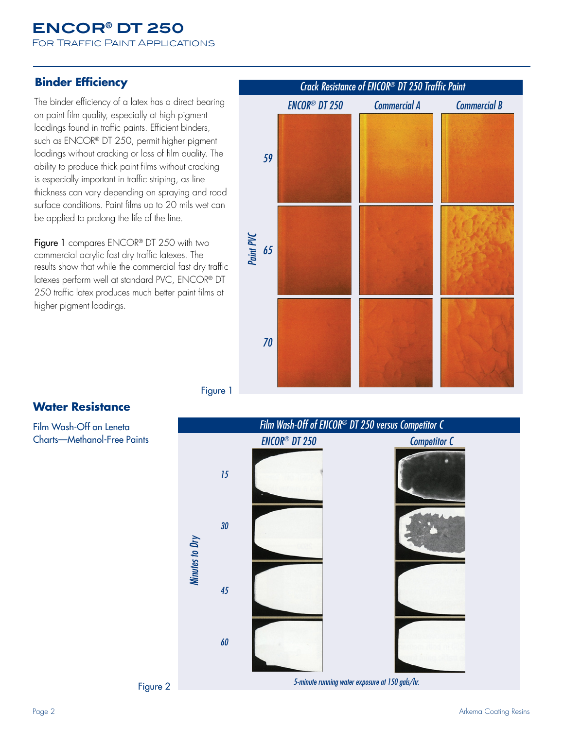## **ENCOR® DT 250**  For Traffic Paint Applications

# **Binder Efficiency**

The binder efficiency of a latex has a direct bearing on paint film quality, especially at high pigment loadings found in traffic paints. Efficient binders, such as ENCOR® DT 250, permit higher pigment loadings without cracking or loss of film quality. The ability to produce thick paint films without cracking is especially important in traffic striping, as line thickness can vary depending on spraying and road surface conditions. Paint films up to 20 mils wet can be applied to prolong the life of the line.

Figure 1 compares ENCOR® DT 250 with two commercial acrylic fast dry traffic latexes. The results show that while the commercial fast dry traffic latexes perform well at standard PVC, ENCOR® DT 250 traffic latex produces much better paint films at higher pigment loadings.



Figure 1

# **Water Resistance**

Film Wash-Off on Leneta Charts—Methanol-Free Paints



Figure 2

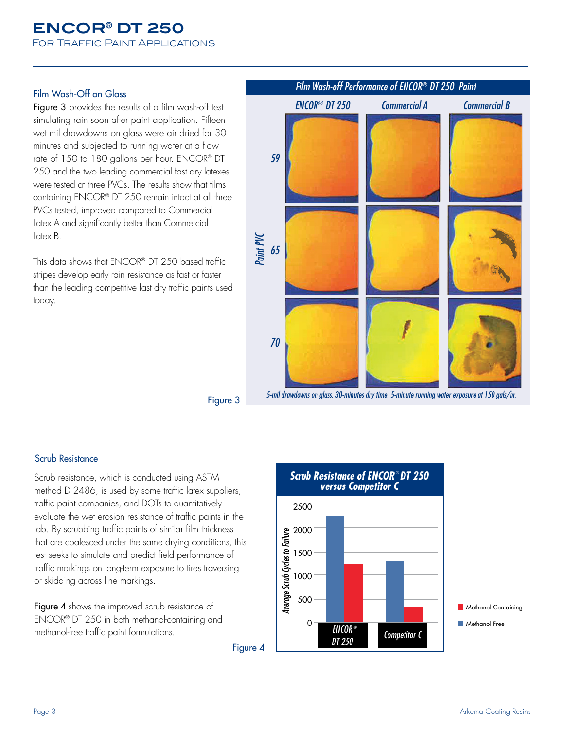For Traffic Paint Applications

#### Film Wash-Off on Glass

Figure 3 provides the results of a film wash-off test simulating rain soon after paint application. Fifteen wet mil drawdowns on glass were air dried for 30 minutes and subjected to running water at a flow rate of 150 to 180 gallons per hour. ENCOR® DT 250 and the two leading commercial fast dry latexes were tested at three PVCs. The results show that films containing ENCOR® DT 250 remain intact at all three PVCs tested, improved compared to Commercial Latex A and significantly better than Commercial Latex B.

This data shows that ENCOR® DT 250 based traffic stripes develop early rain resistance as fast or faster than the leading competitive fast dry traffic paints used today.



Figure 3

#### Scrub Resistance

Scrub resistance, which is conducted using ASTM method D 2486, is used by some traffic latex suppliers, traffic paint companies, and DOTs to quantitatively evaluate the wet erosion resistance of traffic paints in the lab. By scrubbing traffic paints of similar film thickness that are coalesced under the same drying conditions, this test seeks to simulate and predict field performance of traffic markings on long-term exposure to tires traversing or skidding across line markings.

Figure 4 shows the improved scrub resistance of ENCOR® DT 250 in both methanol-containing and methanol-free traffic paint formulations.



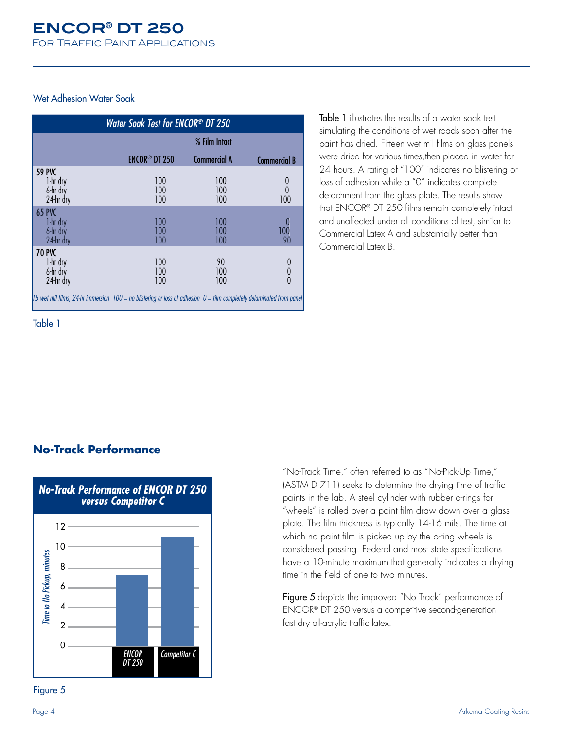Wet Adhesion Water Soak

| Water Soak Test for ENCOR® DT 250                                                                                     |                           |                     |                     |
|-----------------------------------------------------------------------------------------------------------------------|---------------------------|---------------------|---------------------|
|                                                                                                                       |                           | % Film Intact       |                     |
|                                                                                                                       | ENCOR <sup>®</sup> DT 250 | <b>Commercial A</b> | <b>Commercial B</b> |
| <b>59 PVC</b><br>1-hr dry<br>6-hr dry<br>24-hr dry                                                                    | 100<br>100<br>100         | 100<br>100<br>100   | 100                 |
| <b>65 PVC</b><br>1-hr dry<br>6-hr dry<br>24-hr dry                                                                    | 100<br>100<br>100         | 100<br>100<br>100   | 100<br>90           |
| <b>70 PVC</b><br>1-hr dry<br>6-hr dry<br>24-hr dry                                                                    | 100<br>100<br>100         | 90<br>100<br>100    | $0$<br>$0$          |
| [15 wet mil films, 24-hr immersion 100 = no blistering or loss of adhesion 0 = film completely delaminated from panel |                           |                     |                     |

Table 1

Table 1 illustrates the results of a water soak test simulating the conditions of wet roads soon after the paint has dried. Fifteen wet mil films on glass panels were dried for various times, then placed in water for 24 hours. A rating of "100" indicates no blistering or loss of adhesion while a "0" indicates complete detachment from the glass plate. The results show that ENCOR® DT 250 films remain completely intact and unaffected under all conditions of test, similar to Commercial Latex A and substantially better than Commercial Latex B.

# **No-Track Performance**



Figure 5

"No-Track Time," often referred to as "No-Pick-Up Time," (ASTM D 711) seeks to determine the drying time of traffic paints in the lab. A steel cylinder with rubber o-rings for "wheels" is rolled over a paint film draw down over a glass plate. The film thickness is typically 14-16 mils. The time at F 7.2 7.5 7.0 7.1 8.0 6.5 which no paint film is picked up by the o-ring wheels is considered passing. Federal and most state specifications F 30.0 36.5 48.5 35.0 37.0 51.0  $\frac{1}{2}$   $\frac{1}{8}$   $\frac{1}{8}$   $\frac{1}{8}$   $\frac{1}{8}$   $\frac{1}{8}$   $\frac{1}{8}$   $\frac{1}{8}$   $\frac{1}{8}$   $\frac{1}{8}$   $\frac{1}{8}$   $\frac{1}{8}$   $\frac{1}{8}$   $\frac{1}{8}$   $\frac{1}{8}$   $\frac{1}{8}$   $\frac{1}{8}$   $\frac{1}{8}$   $\frac{1}{8}$   $\frac{1}{8}$   $\frac{1}{8}$   $\frac{1}{8}$ 

**Example 2 Reflective Contracts the improved "No Track" performance of Solepicts the improved "No Track" performance of** ENCOR® DT 250 versus a competitive second-generation fast dry all-acrylic traffic latex.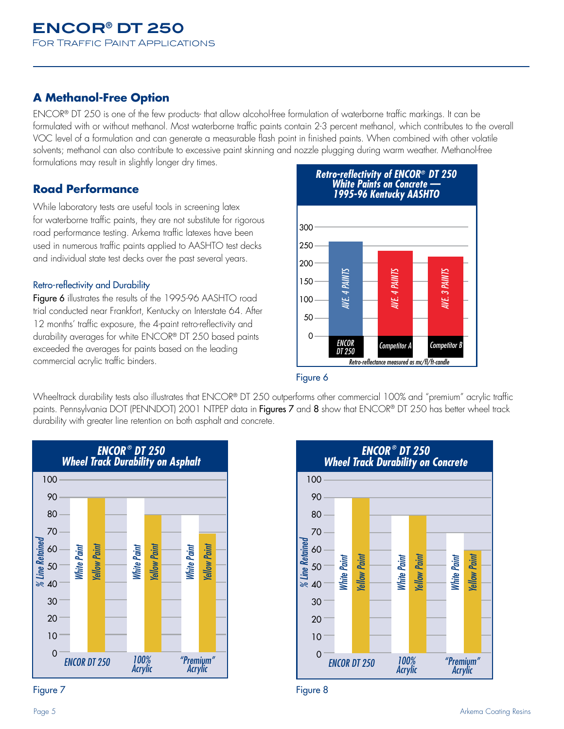# **A Methanol-Free Option**

ENCOR® DT 250 is one of the few products- that allow alcohol-free formulation of waterborne traffic markings. It can be formulated with or without methanol. Most waterborne traffic paints contain 2-3 percent methanol, which contributes to the overall VOC level of a formulation and can generate a measurable flash point in finished paints. When combined with other volatile solvents; methanol can also contribute to excessive paint skinning and nozzle plugging during warm weather. Methanol-free formulations may result in slightly longer dry times.

## **Road Performance**

While laboratory tests are useful tools in screening latex for waterborne traffic paints, they are not substitute for rigorous road performance testing. Arkema traffic latexes have been used in numerous traffic paints applied to AASHTO test decks and individual state test decks over the past several years.

#### Retro-reflectivity and Durability *ENCOR DT 211 Competitor A*

Figure 6 illustrates the results of the 1995-96 AASHTO road trial conducted near Frankfort, Kentucky on Interstate 64. After 12 months' traffic exposure, the 4-paint retro-reflectivity and durability averages for white ENCOR® DT 250 based paints exceeded the averages for paints based on the leading commercial acrylic traffic binders. Methanol Containing Methanol Free





Wheeltrack durability tests also illustrates that ENCOR® DT 250 outperforms other commercial 100% and "premium" acrylic traffic paints. Pennsylvania DOT (PENNDOT) 2001 NTPEP data in Figures 7 and 8 show that ENCOR® DT 250 has better wheel track durability with greater line retention on both asphalt and concrete.



Figure 7 **Figure 8** 



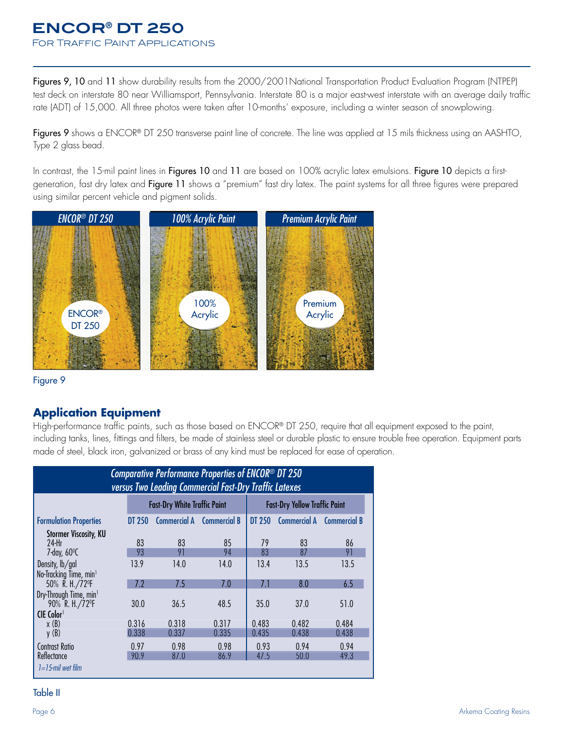For Traffic Paint Applications

Figures 9, 10 and 11 show durability results from the 2000/2001National Transportation Product Evaluation Program (NTPEP) test deck on interstate 80 near Williamsport, Pennsylvania. Interstate 80 is a major east-west interstate with an average daily traffic rate (ADT) of 15,000. All three photos were taken after 10-months' exposure, including a winter season of snowplowing.

Figures 9 shows a ENCOR® DT 250 transverse paint line of concrete. The line was applied at 15 mils thickness using an AASHTO, Type 2 glass bead.

In contrast, the 15-mil paint lines in Figures 10 and 11 are based on 100% acrylic latex emulsions. Figure 10 depicts a firstgeneration, fast dry latex and **Figure 11** shows a "premium" fast dry latex. The paint systems for all three figures were prepared using similar percent vehicle and pigment solids.



### **Application Equipment**

High-performance traffic paints, such as those based on ENCOR® DT 250, require that all equipment exposed to the paint, including tanks, lines, fittings and filters, be made of stainless steel or durable plastic to ensure trouble free operation. Equipment parts made of steel, black iron, galvanized or brass of any kind must be replaced for ease of operation.

| <b>ENCOR®</b><br><b>DT 250</b>                                                                                                                                                                      |                |                                     | 100%<br>Acrylic                                                                                                           |                | Premium                              | Acrylic             |
|-----------------------------------------------------------------------------------------------------------------------------------------------------------------------------------------------------|----------------|-------------------------------------|---------------------------------------------------------------------------------------------------------------------------|----------------|--------------------------------------|---------------------|
| Figure 9                                                                                                                                                                                            |                |                                     |                                                                                                                           |                |                                      |                     |
| including tanks, lines, fittings and filters, be made of stainless steel or durable plastic to ensur<br>made of steel, black iron, galvanized or brass of any kind must be replaced for ease of ope |                |                                     |                                                                                                                           |                |                                      |                     |
|                                                                                                                                                                                                     |                |                                     | Comparative Performance Properties of ENCOR <sup>®</sup> DT 250<br>versus Two Leading Commercial Fast-Dry Traffic Latexes |                |                                      |                     |
|                                                                                                                                                                                                     |                | <b>Fast-Dry White Traffic Paint</b> |                                                                                                                           |                | <b>Fast-Dry Yellow Traffic Paint</b> |                     |
| <b>Formulation Properties</b>                                                                                                                                                                       | <b>DT 250</b>  | <b>Commercial A</b>                 | <b>Commercial B</b>                                                                                                       | <b>DT 250</b>  | <b>Commercial A</b>                  | <b>Commercial B</b> |
| <b>Stormer Viscosity, KU</b><br>24-Hr                                                                                                                                                               | 83             | 83                                  | 85                                                                                                                        | 79             | 83                                   | 86                  |
| 7-day, 60°C                                                                                                                                                                                         | 93             | 91                                  | 94                                                                                                                        | 83             | 87                                   | 91                  |
| Density, lb/gal                                                                                                                                                                                     | 13.9           | 14.0                                | 14.0                                                                                                                      | 13.4           | 13.5                                 | 13.5                |
| No-Tracking Time, min <sup>1</sup>                                                                                                                                                                  | 7.2            | 7.5                                 | 7.0                                                                                                                       | 7.1            | 8.0                                  | 6.5                 |
| 50% R. H./72ºF<br>Dry-Through Time, min <sup>1</sup><br>90% R. H./72ºF                                                                                                                              | 30.0           | 36.5                                | 48.5                                                                                                                      | 35.0           | 37.0                                 | 51.0                |
| CIE Color <sup>1</sup>                                                                                                                                                                              |                |                                     |                                                                                                                           |                |                                      |                     |
| x(B)<br>y(B)                                                                                                                                                                                        | 0.316<br>0.338 | 0.318<br>0.337                      | 0.317<br>0.335                                                                                                            | 0.483<br>0.435 | 0.482<br>0.438                       | 0.484<br>0.438      |
| <b>Contrast Ratio</b><br>Reflectance                                                                                                                                                                | 0.97<br>90.9   | 0.98<br>87.0                        | 0.98<br>86.9                                                                                                              | 0.93<br>47.5   | 0.94<br>50.0                         | 0.94<br>49.3        |

#### Table II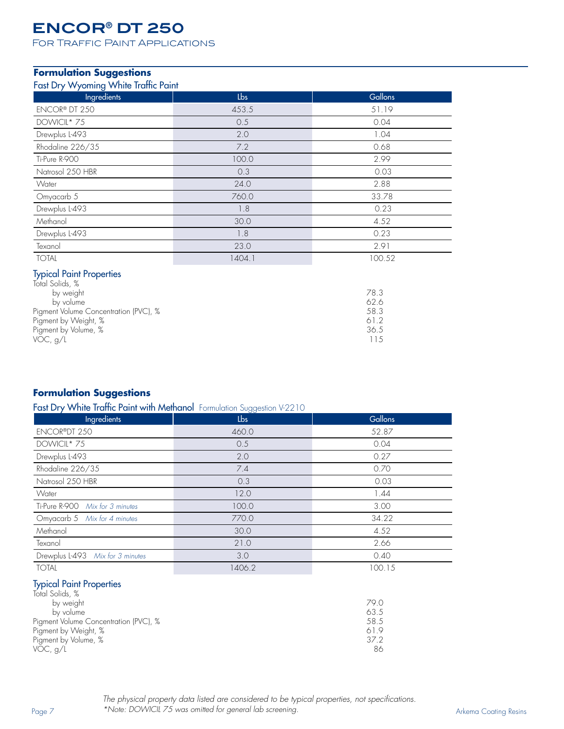FOR TRAFFIC PAINT APPLICATIONS

# **Formulation Suggestions**

#### Fast Dry Wyoming White Traffic Paint

| ັ<br>Ingredients     | Lbs    | Gallons |
|----------------------|--------|---------|
| <b>ENCOR® DT 250</b> | 453.5  | 51.19   |
| DOWICIL* 75          | 0.5    | 0.04    |
| Drewplus L-493       | 2.0    | 1.04    |
| Rhodaline 226/35     | 7.2    | 0.68    |
| Ti-Pure R-900        | 100.0  | 2.99    |
| Natrosol 250 HBR     | 0.3    | 0.03    |
| Water                | 24.0   | 2.88    |
| Omyacarb 5           | 760.0  | 33.78   |
| Drewplus L-493       | 1.8    | 0.23    |
| Methanol             | 30.0   | 4.52    |
| Drewplus L-493       | 1.8    | 0.23    |
| Texanol              | 23.0   | 2.91    |
| <b>TOTAL</b>         | 1404.1 | 100.52  |

#### Typical Paint Properties

| Total Solids, %                       |      |
|---------------------------------------|------|
| by weight                             | 78.3 |
| by volume                             | 62.6 |
| Pigment Volume Concentration (PVC), % | 58.3 |
| Pigment by Weight, %                  | 61.2 |
| Pigment by Volume, %                  | 36.5 |
| VOC, q/L                              | 115  |
|                                       |      |

### **Formulation Suggestions**

Fast Dry White Traffic Paint with Methanol Formulation Suggestion V-2210

| Ingredients                      | Lbs    | Gallons |
|----------------------------------|--------|---------|
| <b>ENCOR®DT 250</b>              | 460.0  | 52.87   |
| DOWICIL* 75                      | 0.5    | 0.04    |
| Drewplus L-493                   | 2.0    | 0.27    |
| Rhodaline 226/35                 | 7.4    | 0.70    |
| Natrosol 250 HBR                 | 0.3    | 0.03    |
| Water                            | 12.0   | 1.44    |
| Ti-Pure R-900 Mix for 3 minutes  | 100.0  | 3.00    |
| Omyacarb 5 Mix for 4 minutes     | 770.0  | 34.22   |
| Methanol                         | 30.0   | 4.52    |
| Texanol                          | 21.0   | 2.66    |
| Drewplus L-493 Mix for 3 minutes | 3.0    | 0.40    |
| <b>TOTAL</b>                     | 1406.2 | 100.15  |

#### Typical Paint Properties

| Total Solids, %                       |      |
|---------------------------------------|------|
| by weight                             | 79.0 |
| by volume                             | 63.5 |
| Pigment Volume Concentration (PVC), % | 58.5 |
| Pigment by Weight, %                  | 619  |
| Pigment by Volume, %                  | 372  |
| VOC, q/L                              | 86   |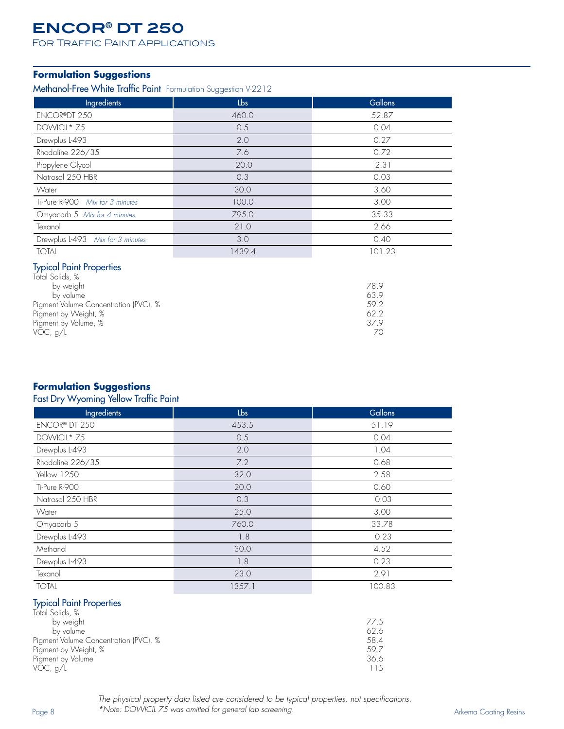FOR TRAFFIC PAINT APPLICATIONS

# **Formulation Suggestions**

Methanol-Free White Traffic Paint Formulation Suggestion V-2212

| Ingredients                      | Lbs    | Gallons |
|----------------------------------|--------|---------|
| <b>ENCOR®DT 250</b>              | 460.0  | 52.87   |
| DOWICIL* 75                      | 0.5    | 0.04    |
| Drewplus L-493                   | 2.0    | 0.27    |
| Rhodaline 226/35                 | 7.6    | 0.72    |
| Propylene Glycol                 | 20.0   | 2.31    |
| Natrosol 250 HBR                 | 0.3    | 0.03    |
| Water                            | 30.0   | 3.60    |
| Ti-Pure R-900 Mix for 3 minutes  | 100.0  | 3.00    |
| Omyacarb 5 Mix for 4 minutes     | 795.0  | 35.33   |
| Texanol                          | 21.0   | 2.66    |
| Drewplus L-493 Mix for 3 minutes | 3.0    | 0.40    |
| <b>TOTAL</b>                     | 1439.4 | 101.23  |

### Typical Paint Properties

| Total Solids, %                       |      |
|---------------------------------------|------|
| by weight                             | 78 9 |
| by volume                             | 63.9 |
| Pigment Volume Concentration (PVC), % | 592  |
| Pigment by Weight, %                  | 62.2 |
| Pigment by Volume, %                  | 379  |
| VOC, $g/L$                            |      |
|                                       |      |

### **Formulation Suggestions**

#### Fast Dry Wyoming Yellow Traffic Paint

| Ingredients          | Lbs    | Gallons |
|----------------------|--------|---------|
| <b>ENCOR® DT 250</b> | 453.5  | 51.19   |
| DOWICIL* 75          | 0.5    | 0.04    |
| Drewplus L-493       | 2.0    | 1.04    |
| Rhodaline 226/35     | 7.2    | 0.68    |
| Yellow 1250          | 32.0   | 2.58    |
| Ti-Pure R-900        | 20.0   | 0.60    |
| Natrosol 250 HBR     | 0.3    | 0.03    |
| Water                | 25.0   | 3.00    |
| Omyacarb 5           | 760.0  | 33.78   |
| Drewplus L-493       | 1.8    | 0.23    |
| Methanol             | 30.0   | 4.52    |
| Drewplus L-493       | 1.8    | 0.23    |
| Texanol              | 23.0   | 2.91    |
| <b>TOTAL</b>         | 1357.1 | 100.83  |

#### Typical Paint Properties

| Total Solids, %                       |      |
|---------------------------------------|------|
| by weight                             | 77.5 |
| by volume                             | 62.6 |
| Pigment Volume Concentration (PVC), % | 58.4 |
| Pigment by Weight, %                  | 59.7 |
| Pigment by Volume                     | 36.6 |
| VOC, q/L                              | 115  |

Page 8 *\*Note: DOWICIL 75 was omitted for general lab screening.* Arkema Coating Resins Arkema Coating Resins *The physical property data listed are considered to be typical properties, not specifications.*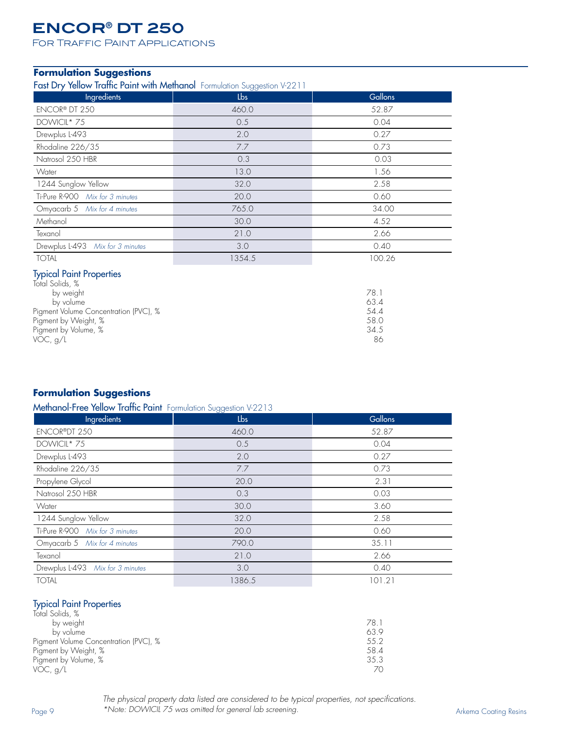FOR TRAFFIC PAINT APPLICATIONS

# **Formulation Suggestions**

Fast Dry Yellow Traffic Paint with Methanol Formulation Suggestion V-2211

| Ingredients                      | $\circ\circ$<br>Lbs | Gallons |
|----------------------------------|---------------------|---------|
| ENCOR® DT 250                    | 460.0               | 52.87   |
| DOWICIL* 75                      | 0.5                 | 0.04    |
| Drewplus L-493                   | 2.0                 | 0.27    |
| Rhodaline 226/35                 | 7.7                 | 0.73    |
| Natrosol 250 HBR                 | 0.3                 | 0.03    |
| Water                            | 13.0                | 1.56    |
| 1244 Sunglow Yellow              | 32.0                | 2.58    |
| Ti-Pure R-900 Mix for 3 minutes  | 20.0                | 0.60    |
| Omyacarb 5 Mix for 4 minutes     | 765.0               | 34.00   |
| Methanol                         | 30.0                | 4.52    |
| Texanol                          | 21.0                | 2.66    |
| Drewplus L-493 Mix for 3 minutes | 3.0                 | 0.40    |
| <b>TOTAL</b>                     | 1354.5              | 100.26  |

#### Typical Paint Properties

| Total Solids, %                       |      |
|---------------------------------------|------|
| by weight                             | 78.1 |
| by volume                             | 63.4 |
| Pigment Volume Concentration (PVC), % | 54.4 |
| Pigment by Weight, %                  | 58.0 |
| Pigment by Volume, %                  | 34.5 |
| VOC, g/L                              | 86   |
|                                       |      |

### **Formulation Suggestions**

Methanol-Free Yellow Traffic Paint Formulation Suggestion V-2213

| Ingredients                      | Lbs    | Gallons |
|----------------------------------|--------|---------|
| <b>ENCOR®DT 250</b>              | 460.0  | 52.87   |
| DOWICIL* 75                      | 0.5    | 0.04    |
| Drewplus L-493                   | 2.0    | 0.27    |
| Rhodaline 226/35                 | 7.7    | 0.73    |
| Propylene Glycol                 | 20.0   | 2.31    |
| Natrosol 250 HBR                 | 0.3    | 0.03    |
| Water                            | 30.0   | 3.60    |
| 1244 Sunglow Yellow              | 32.0   | 2.58    |
| Ti-Pure R-900 Mix for 3 minutes  | 20.0   | 0.60    |
| Omyacarb 5 Mix for 4 minutes     | 790.0  | 35.11   |
| Texanol                          | 21.0   | 2.66    |
| Drewplus L-493 Mix for 3 minutes | 3.0    | 0.40    |
| <b>TOTAL</b>                     | 1386.5 | 101.21  |

#### Typical Paint Properties

| Total Solids, %                       |      |
|---------------------------------------|------|
| by weight                             | 78.1 |
| by volume                             | 63.9 |
| Pigment Volume Concentration (PVC), % | 55.2 |
| Pigment by Weight, %                  | 58.4 |
| Pigment by Volume, %                  | 35.3 |
| VOC, q/L                              | 70   |
|                                       |      |

 Page 9 Arkema Coating Resins *\*Note: DOWICIL 75 was omitted for general lab screening. The physical property data listed are considered to be typical properties, not specifications.*